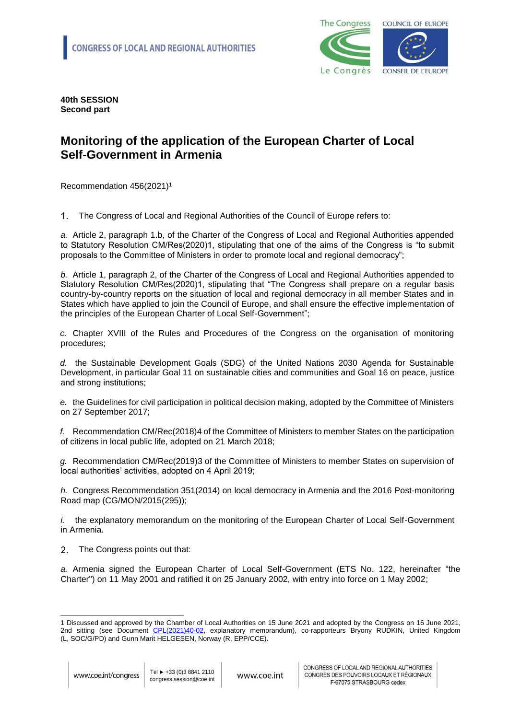

**40th SESSION Second part**

## **Monitoring of the application of the European Charter of Local Self-Government in Armenia**

Recommendation 456(2021)<sup>1</sup>

 $\mathbf{1}$ The Congress of Local and Regional Authorities of the Council of Europe refers to:

*a.* Article 2, paragraph 1.b, of the Charter of the Congress of Local and Regional Authorities appended to Statutory Resolution CM/Res(2020)1, stipulating that one of the aims of the Congress is "to submit proposals to the Committee of Ministers in order to promote local and regional democracy";

*b.* Article 1, paragraph 2, of the Charter of the Congress of Local and Regional Authorities appended to Statutory Resolution CM/Res(2020)1, stipulating that "The Congress shall prepare on a regular basis country-by-country reports on the situation of local and regional democracy in all member States and in States which have applied to join the Council of Europe, and shall ensure the effective implementation of the principles of the European Charter of Local Self-Government";

*c.* Chapter XVIII of the Rules and Procedures of the Congress on the organisation of monitoring procedures;

*d.* the Sustainable Development Goals (SDG) of the United Nations 2030 Agenda for Sustainable Development, in particular Goal 11 on sustainable cities and communities and Goal 16 on peace, justice and strong institutions;

*e.* the Guidelines for civil participation in political decision making, adopted by the Committee of Ministers on 27 September 2017;

*f.* Recommendation CM/Rec(2018)4 of the Committee of Ministers to member States on the participation of citizens in local public life, adopted on 21 March 2018;

*g.* Recommendation CM/Rec(2019)3 of the Committee of Ministers to member States on supervision of local authorities' activities, adopted on 4 April 2019;

*h.* Congress Recommendation 351(2014) on local democracy in Armenia and the 2016 Post-monitoring Road map (CG/MON/2015(295));

*i.* the explanatory memorandum on the monitoring of the European Charter of Local Self-Government in Armenia.

2 The Congress points out that:

*a.* Armenia signed the European Charter of Local Self-Government (ETS No. 122, hereinafter "the Charter") on 11 May 2001 and ratified it on 25 January 2002, with entry into force on 1 May 2002;

l

<sup>1</sup> Discussed and approved by the Chamber of Local Authorities on 15 June 2021 and adopted by the Congress on 16 June 2021, 2nd sitting (see Document [CPL\(2021\)40-02,](https://rm.coe.int/monitoring-of-the-application-of-the-european-charter-of-local-self-go/1680a288a5) explanatory memorandum), co-rapporteurs Bryony RUDKIN, United Kingdom (L, SOC/G/PD) and Gunn Marit HELGESEN, Norway (R, EPP/CCE).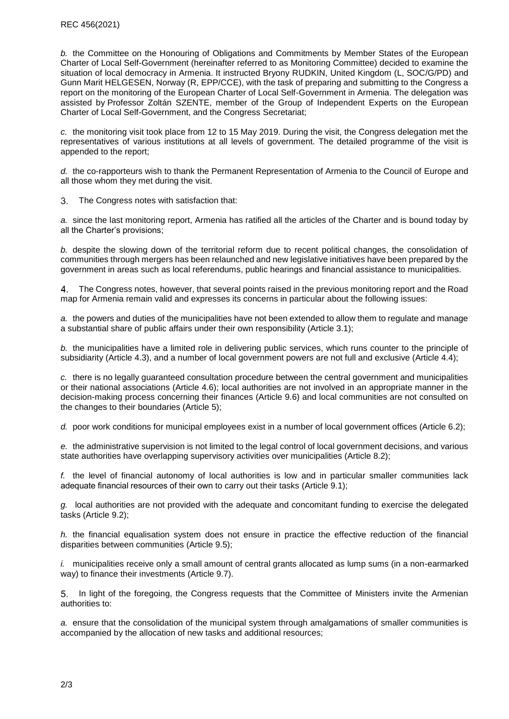*b.* the Committee on the Honouring of Obligations and Commitments by Member States of the European Charter of Local Self-Government (hereinafter referred to as Monitoring Committee) decided to examine the situation of local democracy in Armenia. It instructed Bryony RUDKIN, United Kingdom (L, SOC/G/PD) and Gunn Marit HELGESEN, Norway (R, EPP/CCE), with the task of preparing and submitting to the Congress a report on the monitoring of the European Charter of Local Self-Government in Armenia. The delegation was assisted by Professor Zoltán SZENTE, member of the Group of Independent Experts on the European Charter of Local Self-Government, and the Congress Secretariat;

*c.* the monitoring visit took place from 12 to 15 May 2019. During the visit, the Congress delegation met the representatives of various institutions at all levels of government. The detailed programme of the visit is appended to the report;

*d.* the co-rapporteurs wish to thank the Permanent Representation of Armenia to the Council of Europe and all those whom they met during the visit.

 $3.$ The Congress notes with satisfaction that:

*a.* since the last monitoring report, Armenia has ratified all the articles of the Charter and is bound today by all the Charter's provisions;

*b.* despite the slowing down of the territorial reform due to recent political changes, the consolidation of communities through mergers has been relaunched and new legislative initiatives have been prepared by the government in areas such as local referendums, public hearings and financial assistance to municipalities.

The Congress notes, however, that several points raised in the previous monitoring report and the Road 4 map for Armenia remain valid and expresses its concerns in particular about the following issues:

*a.* the powers and duties of the municipalities have not been extended to allow them to regulate and manage a substantial share of public affairs under their own responsibility (Article 3.1);

*b.* the municipalities have a limited role in delivering public services, which runs counter to the principle of subsidiarity (Article 4.3), and a number of local government powers are not full and exclusive (Article 4.4);

*c.* there is no legally guaranteed consultation procedure between the central government and municipalities or their national associations (Article 4.6); local authorities are not involved in an appropriate manner in the decision-making process concerning their finances (Article 9.6) and local communities are not consulted on the changes to their boundaries (Article 5);

*d.* poor work conditions for municipal employees exist in a number of local government offices (Article 6.2);

*e.* the administrative supervision is not limited to the legal control of local government decisions, and various state authorities have overlapping supervisory activities over municipalities (Article 8.2);

*f.* the level of financial autonomy of local authorities is low and in particular smaller communities lack adequate financial resources of their own to carry out their tasks (Article 9.1);

*g.* local authorities are not provided with the adequate and concomitant funding to exercise the delegated tasks (Article 9.2);

*h.* the financial equalisation system does not ensure in practice the effective reduction of the financial disparities between communities (Article 9.5);

*i.* municipalities receive only a small amount of central grants allocated as lump sums (in a non-earmarked way) to finance their investments (Article 9.7).

In light of the foregoing, the Congress requests that the Committee of Ministers invite the Armenian authorities to:

*a.* ensure that the consolidation of the municipal system through amalgamations of smaller communities is accompanied by the allocation of new tasks and additional resources;